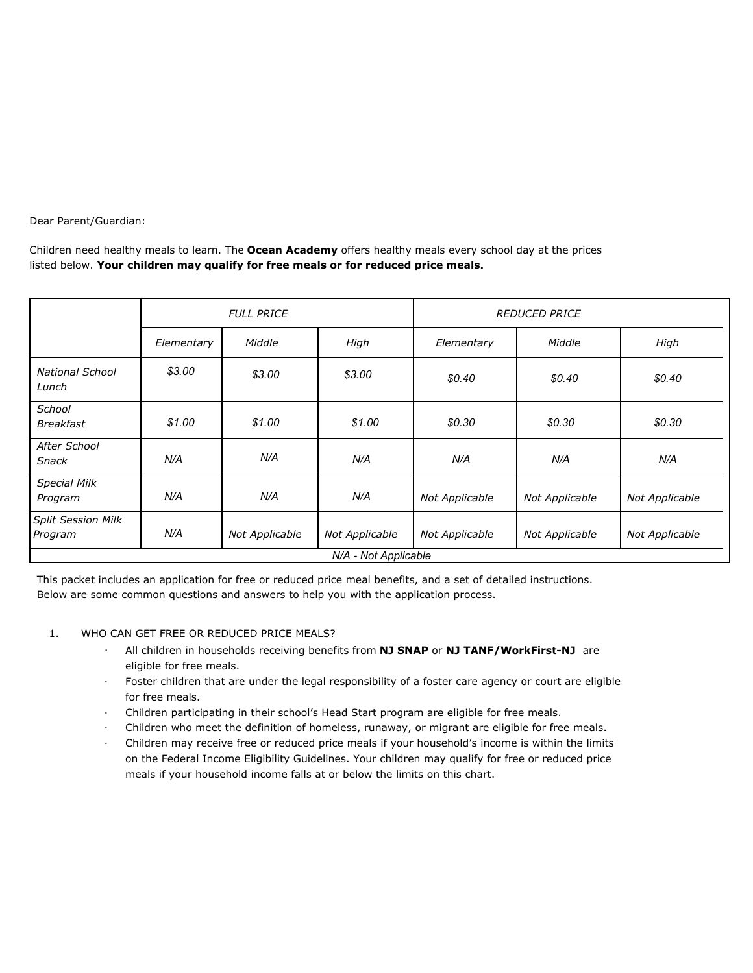Dear Parent/Guardian:

Children need healthy meals to learn. The **Ocean Academy** offers healthy meals every school day at the prices listed below. **Your children may qualify for free meals or for reduced price meals.**

|                                      | <b>FULL PRICE</b> |                |                | <b>REDUCED PRICE</b> |                |                |  |  |
|--------------------------------------|-------------------|----------------|----------------|----------------------|----------------|----------------|--|--|
|                                      | Elementary        | Middle         | High           | Elementary           | Middle         | High           |  |  |
| <b>National School</b><br>Lunch      | \$3.00            | \$3.00         | \$3.00         | \$0.40               | \$0.40         | \$0.40         |  |  |
| <b>School</b><br><b>Breakfast</b>    | \$1.00            | \$1.00         | \$1.00         | \$0.30               | \$0.30         | \$0.30         |  |  |
| After School<br><b>Snack</b>         | N/A               | N/A            | N/A            | N/A                  | N/A            | N/A            |  |  |
| <b>Special Milk</b><br>Program       | N/A               | N/A            | N/A            | Not Applicable       | Not Applicable | Not Applicable |  |  |
| <b>Split Session Milk</b><br>Program | N/A               | Not Applicable | Not Applicable | Not Applicable       | Not Applicable | Not Applicable |  |  |
| N/A - Not Applicable                 |                   |                |                |                      |                |                |  |  |

This packet includes an application for free or reduced price meal benefits, and a set of detailed instructions. Below are some common questions and answers to help you with the application process.

## 1. WHO CAN GET FREE OR REDUCED PRICE MEALS?

- · All children in households receiving benefits from **NJ SNAP** or **NJ TANF/WorkFirst-NJ** are eligible for free meals.
- · Foster children that are under the legal responsibility of a foster care agency or court are eligible for free meals.
- · Children participating in their school's Head Start program are eligible for free meals.
- · Children who meet the definition of homeless, runaway, or migrant are eligible for free meals.
- · Children may receive free or reduced price meals if your household's income is within the limits on the Federal Income Eligibility Guidelines. Your children may qualify for free or reduced price meals if your household income falls at or below the limits on this chart.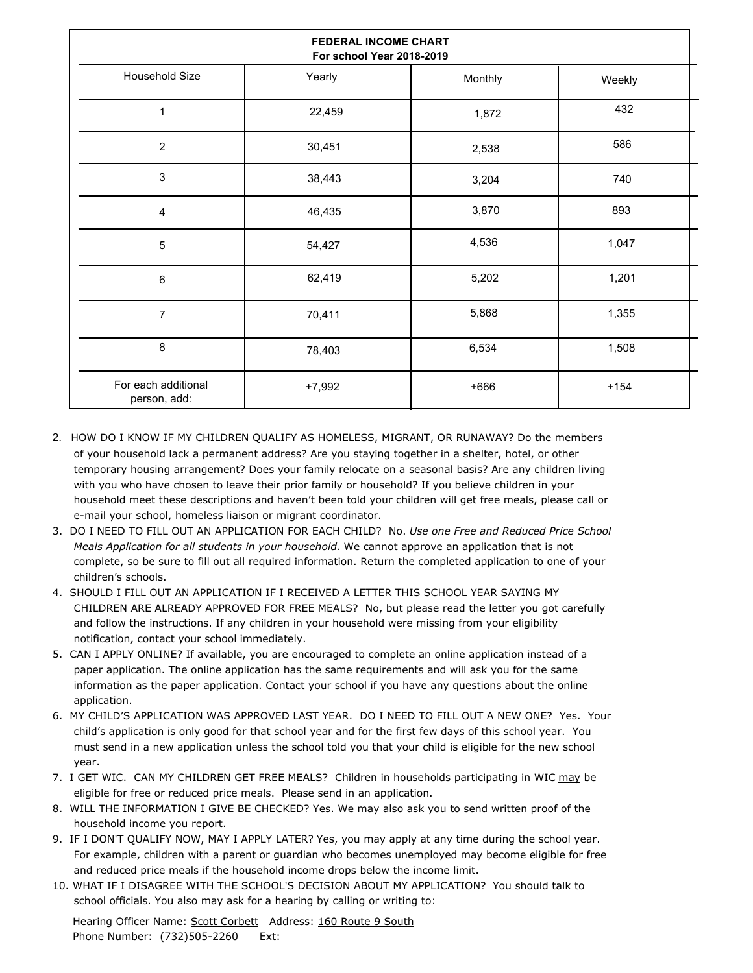| FEDERAL INCOME CHART<br>For school Year 2018-2019 |          |         |        |  |  |  |  |
|---------------------------------------------------|----------|---------|--------|--|--|--|--|
| Household Size                                    | Yearly   | Monthly | Weekly |  |  |  |  |
| $\mathbf{1}$                                      | 22,459   | 1,872   | 432    |  |  |  |  |
| $\overline{2}$                                    | 30,451   | 2,538   | 586    |  |  |  |  |
| 3                                                 | 38,443   | 3,204   | 740    |  |  |  |  |
| 4                                                 | 46,435   | 3,870   | 893    |  |  |  |  |
| $\overline{5}$                                    | 54,427   | 4,536   | 1,047  |  |  |  |  |
| 6                                                 | 62,419   | 5,202   | 1,201  |  |  |  |  |
| $\overline{7}$                                    | 70,411   | 5,868   | 1,355  |  |  |  |  |
| 8                                                 | 78,403   | 6,534   | 1,508  |  |  |  |  |
| For each additional<br>person, add:               | $+7,992$ | $+666$  | $+154$ |  |  |  |  |

- 2. HOW DO I KNOW IF MY CHILDREN QUALIFY AS HOMELESS, MIGRANT, OR RUNAWAY? Do the members of your household lack a permanent address? Are you staying together in a shelter, hotel, or other temporary housing arrangement? Does your family relocate on a seasonal basis? Are any children living with you who have chosen to leave their prior family or household? If you believe children in your household meet these descriptions and haven't been told your children will get free meals, please call or e-mail your school, homeless liaison or migrant coordinator.
- 3. DO I NEED TO FILL OUT AN APPLICATION FOR EACH CHILD? No. *Use one Free and Reduced Price School Meals Application for all students in your household.* We cannot approve an application that is not complete, so be sure to fill out all required information. Return the completed application to one of your children's schools.
- 4. SHOULD I FILL OUT AN APPLICATION IF I RECEIVED A LETTER THIS SCHOOL YEAR SAYING MY CHILDREN ARE ALREADY APPROVED FOR FREE MEALS? No, but please read the letter you got carefully and follow the instructions. If any children in your household were missing from your eligibility notification, contact your school immediately.
- 5. CAN I APPLY ONLINE? If available, you are encouraged to complete an online application instead of a paper application. The online application has the same requirements and will ask you for the same information as the paper application. Contact your school if you have any questions about the online application.
- 6. MY CHILD'S APPLICATION WAS APPROVED LAST YEAR. DO I NEED TO FILL OUT A NEW ONE? Yes. Your child's application is only good for that school year and for the first few days of this school year. You must send in a new application unless the school told you that your child is eligible for the new school year.
- 7. I GET WIC. CAN MY CHILDREN GET FREE MEALS? Children in households participating in WIC may be eligible for free or reduced price meals. Please send in an application.
- 8. WILL THE INFORMATION I GIVE BE CHECKED? Yes. We may also ask you to send written proof of the household income you report.
- 9. IF I DON'T QUALIFY NOW, MAY I APPLY LATER? Yes, you may apply at any time during the school year. For example, children with a parent or guardian who becomes unemployed may become eligible for free and reduced price meals if the household income drops below the income limit.
- 10. WHAT IF I DISAGREE WITH THE SCHOOL'S DECISION ABOUT MY APPLICATION? You should talk to school officials. You also may ask for a hearing by calling or writing to: